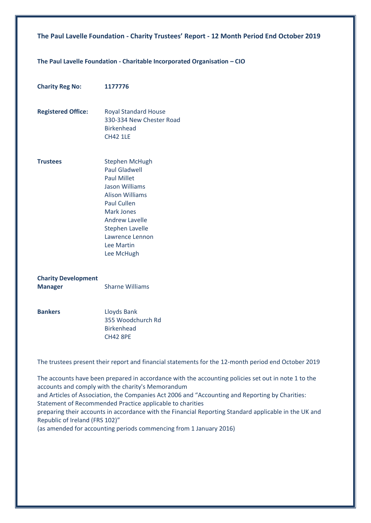### **The Paul Lavelle Foundation - Charitable Incorporated Organisation – CIO**

| <b>Charity Reg No:</b>                       | 1177776                                                                                                                                                                                                                                               |
|----------------------------------------------|-------------------------------------------------------------------------------------------------------------------------------------------------------------------------------------------------------------------------------------------------------|
| <b>Registered Office:</b>                    | <b>Royal Standard House</b><br>330-334 New Chester Road<br><b>Birkenhead</b><br><b>CH42 1LE</b>                                                                                                                                                       |
| <b>Trustees</b>                              | Stephen McHugh<br><b>Paul Gladwell</b><br><b>Paul Millet</b><br><b>Jason Williams</b><br><b>Alison Williams</b><br>Paul Cullen<br><b>Mark Jones</b><br><b>Andrew Lavelle</b><br><b>Stephen Lavelle</b><br>Lawrence Lennon<br>Lee Martin<br>Lee McHugh |
| <b>Charity Development</b><br><b>Manager</b> | <b>Sharne Williams</b>                                                                                                                                                                                                                                |
| <b>Bankers</b>                               | Lloyds Bank<br>355 Woodchurch Rd<br><b>Birkenhead</b><br><b>CH42 8PE</b>                                                                                                                                                                              |

The trustees present their report and financial statements for the 12-month period end October 2019

The accounts have been prepared in accordance with the accounting policies set out in note 1 to the accounts and comply with the charity's Memorandum and Articles of Association, the Companies Act 2006 and "Accounting and Reporting by Charities: Statement of Recommended Practice applicable to charities preparing their accounts in accordance with the Financial Reporting Standard applicable in the UK and Republic of Ireland (FRS 102)" (as amended for accounting periods commencing from 1 January 2016)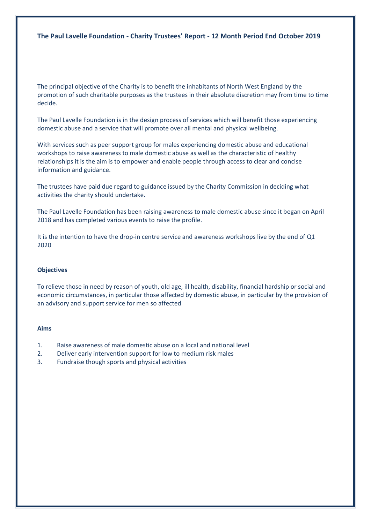The principal objective of the Charity is to benefit the inhabitants of North West England by the promotion of such charitable purposes as the trustees in their absolute discretion may from time to time decide.

The Paul Lavelle Foundation is in the design process of services which will benefit those experiencing domestic abuse and a service that will promote over all mental and physical wellbeing.

With services such as peer support group for males experiencing domestic abuse and educational workshops to raise awareness to male domestic abuse as well as the characteristic of healthy relationships it is the aim is to empower and enable people through access to clear and concise information and guidance.

The trustees have paid due regard to guidance issued by the Charity Commission in deciding what activities the charity should undertake.

The Paul Lavelle Foundation has been raising awareness to male domestic abuse since it began on April 2018 and has completed various events to raise the profile.

It is the intention to have the drop-in centre service and awareness workshops live by the end of Q1 2020

#### **Objectives**

To relieve those in need by reason of youth, old age, ill health, disability, financial hardship or social and economic circumstances, in particular those affected by domestic abuse, in particular by the provision of an advisory and support service for men so affected

#### **Aims**

- 1. Raise awareness of male domestic abuse on a local and national level
- 2. Deliver early intervention support for low to medium risk males
- 3. Fundraise though sports and physical activities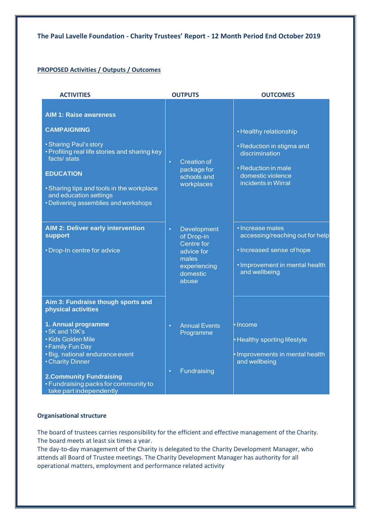### **PROPOSED Activities / Outputs / Outcomes**

| <b>ACTIVITIES</b>                                                                                                                                                                                                                                                                                                                               | <b>OUTPUTS</b>                                                                                                        | <b>OUTCOMES</b>                                                                                                                                                                                 |  |  |
|-------------------------------------------------------------------------------------------------------------------------------------------------------------------------------------------------------------------------------------------------------------------------------------------------------------------------------------------------|-----------------------------------------------------------------------------------------------------------------------|-------------------------------------------------------------------------------------------------------------------------------------------------------------------------------------------------|--|--|
| <b>AIM 1: Raise awareness</b><br><b>CAMPAIGNING</b><br>• Sharing Paul's story<br>• Profiling real life stories and sharing key<br>facts/stats<br><b>EDUCATION</b><br>• Sharing tips and tools in the workplace<br>and education settings<br>• Delivering assemblies and workshops<br><b>AIM 2: Deliver early intervention</b><br><b>support</b> | <b>Creation of</b><br>$\bullet$<br>package for<br>schools and<br>workplaces<br>Development<br>$\bullet$<br>of Drop-in | • Healthy relationship<br>• Reduction in stigma and<br>discrimination<br>• Reduction in male<br>domestic violence<br>incidents in Wirral<br>• Increase males<br>accessing/reaching out for help |  |  |
| • Drop-In centre for advice                                                                                                                                                                                                                                                                                                                     | Centre for<br>advice for<br>males<br>experiencing<br>domestic<br>abuse                                                | • Increased sense of hope<br>· Improvement in mental health<br>and wellbeing                                                                                                                    |  |  |
| Aim 3: Fundraise though sports and<br>physical activities                                                                                                                                                                                                                                                                                       |                                                                                                                       |                                                                                                                                                                                                 |  |  |
| 1. Annual programme<br>• 5K and 10K's<br>• Kids Golden Mile<br>• Family Fun Day<br>· Big, national endurance event<br>• Charity Dinner                                                                                                                                                                                                          | <b>Annual Events</b><br>$\bullet$<br>Programme                                                                        | • Income<br>• Healthy sporting lifestyle<br>· Improvements in mental health<br>and wellbeing                                                                                                    |  |  |
| <b>2.Community Fundraising</b><br>• Fundraising packs for community to<br>take part independently                                                                                                                                                                                                                                               | Fundraising<br>$\bullet$                                                                                              |                                                                                                                                                                                                 |  |  |

### **Organisational structure**

The board of trustees carries responsibility for the efficient and effective management of the Charity. The board meets at least six times a year.

The day-to-day management of the Charity is delegated to the Charity Development Manager, who attends all Board of Trustee meetings. The Charity Development Manager has authority for all operational matters, employment and performance related activity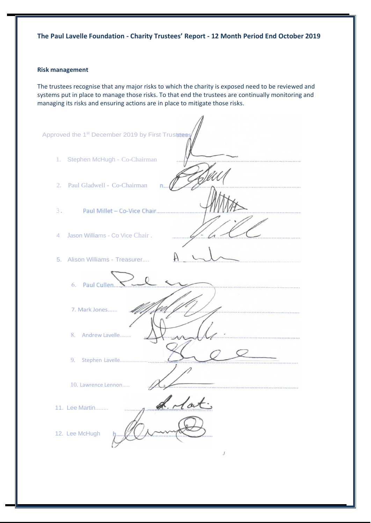#### **Risk management**

The trustees recognise that any major risks to which the charity is exposed need to be reviewed and systems put in place to manage those risks. To that end the trustees are continually monitoring and managing its risks and ensuring actions are in place to mitigate those risks.

| Approved the 1 <sup>st</sup> December 2019 by First Trustees |
|--------------------------------------------------------------|
| 1. Stephen McHugh - Co-Chairman                              |
| 2. Paul Gladwell - Co-Chairman<br>n.                         |
| 3.<br>Paul Millet - Co-Vice Chair                            |
| Jason Williams - Co Vice Chair.<br>$\overline{4}$            |
| 5. Alison Williams - Treasurer                               |
| 6. Paul Cullen                                               |
| 7. Mark Jones                                                |
| 8. Andrew Lavelle                                            |
|                                                              |
| 10. Lawrence Lennon<br>*****************************         |
| 11. Lee Martin                                               |
| 12. Lee McHugh                                               |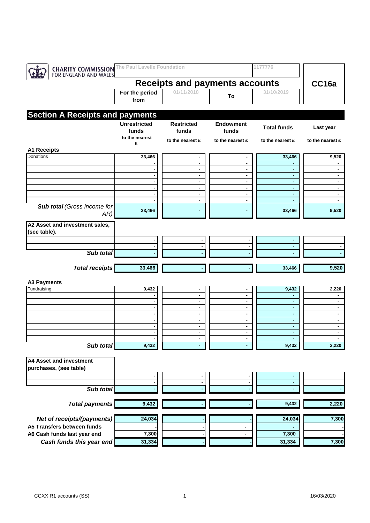| <b>CHARITY COMMISSION</b><br>FOR ENGLAND AND WALES | The Paul Lavelle Foundation                    |                            |                           | 1177776            |                                  |
|----------------------------------------------------|------------------------------------------------|----------------------------|---------------------------|--------------------|----------------------------------|
|                                                    | <b>Receipts and payments accounts</b>          | CC16a                      |                           |                    |                                  |
|                                                    | For the period<br>from                         | 01/11/2018                 | To                        | 31/10/2019         |                                  |
| <b>Section A Receipts and payments</b>             |                                                |                            |                           |                    |                                  |
|                                                    | <b>Unrestricted</b><br>funds<br>to the nearest | <b>Restricted</b><br>funds | <b>Endowment</b><br>funds | <b>Total funds</b> | Last year                        |
|                                                    | £                                              | to the nearest £           | to the nearest £          | to the nearest £   | to the nearest £                 |
| <b>A1 Receipts</b><br>Donations                    | 33,466                                         | ٠                          | ٠                         | 33,466             | 9,520                            |
|                                                    |                                                | ٠                          | $\blacksquare$            |                    |                                  |
|                                                    | $\sim$                                         | ٠                          | ۰.                        | ٠                  | $\sim$                           |
|                                                    |                                                | ٠                          | $\blacksquare$            | $\blacksquare$     | $\blacksquare$                   |
|                                                    | $\blacksquare$<br>$\blacksquare$               | $\blacksquare$<br>٠        | $\blacksquare$<br>٠       | ٠<br>٠             | $\blacksquare$<br>٠              |
|                                                    |                                                | ٠                          | $\blacksquare$            | ä,                 | ٠                                |
|                                                    |                                                | ۰                          |                           | ٠                  |                                  |
| <b>Sub total (Gross income for</b><br>AR)          | 33,466                                         |                            |                           | 33,466             | 9,520                            |
| A2 Asset and investment sales,<br>(see table).     |                                                |                            |                           |                    |                                  |
|                                                    | ٠                                              |                            | ٠                         | ٠                  |                                  |
|                                                    |                                                |                            | $\blacksquare$            | ٠                  |                                  |
| Sub total                                          |                                                |                            |                           |                    |                                  |
| <b>Total receipts</b>                              | 33,466                                         |                            |                           | 33,466             | 9,520                            |
| <b>A3 Payments</b>                                 |                                                |                            |                           |                    |                                  |
| Fundraising                                        | 9,432                                          | ٠                          | ۰                         | 9,432              | 2,220                            |
|                                                    |                                                | $\blacksquare$             | $\blacksquare$            | $\blacksquare$     | ٠                                |
|                                                    | $\overline{\phantom{a}}$                       | ۰                          | ٠                         | ٠                  | $\sim$                           |
|                                                    | ٠<br>$\blacksquare$                            | ٠<br>٠                     | ٠<br>$\blacksquare$       | ٠<br>٠             | $\blacksquare$<br>$\blacksquare$ |
|                                                    | $\blacksquare$                                 | ٠                          | ٠                         | ٠                  | $\sim$                           |
|                                                    |                                                | $\blacksquare$             | $\blacksquare$            | $\blacksquare$     | ٠                                |
|                                                    | ٠                                              | ٠                          | $\blacksquare$            | ٠                  | ٠                                |
| Sub total                                          | 9,432                                          |                            |                           | 9,432              | 2,220                            |
| A4 Asset and investment                            |                                                |                            |                           |                    |                                  |
| purchases, (see table)                             |                                                |                            |                           |                    |                                  |
|                                                    |                                                |                            | ٠                         |                    |                                  |
|                                                    | $\blacksquare$                                 |                            | $\blacksquare$            | $\blacksquare$     |                                  |
| Sub total                                          |                                                |                            |                           |                    |                                  |
| <b>Total payments</b>                              | 9,432                                          |                            |                           | 9,432              | 2,220                            |
| Net of receipts/(payments)                         | 24,034                                         |                            |                           | 24,034             | 7,300                            |
| A5 Transfers between funds                         |                                                |                            | $\blacksquare$            |                    |                                  |
| A6 Cash funds last year end                        | 7,300                                          |                            | $\blacksquare$            | 7,300              |                                  |
| Cash funds this year end                           | 31,334                                         |                            |                           | 31,334             | 7,300                            |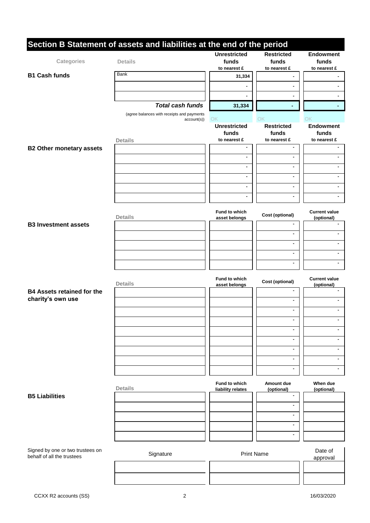|                                                                | Section B Statement of assets and liabilities at the end of the period |                                |                            |                                    |
|----------------------------------------------------------------|------------------------------------------------------------------------|--------------------------------|----------------------------|------------------------------------|
| Categories                                                     | <b>Details</b>                                                         | <b>Unrestricted</b><br>funds   | <b>Restricted</b><br>funds | <b>Endowment</b><br>funds          |
|                                                                |                                                                        | to nearest £                   | to nearest £               | to nearest £                       |
| <b>B1 Cash funds</b>                                           | <b>Bank</b>                                                            | 31,334                         |                            |                                    |
|                                                                |                                                                        | ۰                              |                            |                                    |
|                                                                |                                                                        |                                |                            |                                    |
|                                                                | <b>Total cash funds</b>                                                | 31,334                         |                            |                                    |
|                                                                | (agree balances with receipts and payments                             |                                |                            |                                    |
|                                                                | account(s))                                                            | OK                             | OK                         | OK                                 |
|                                                                |                                                                        | <b>Unrestricted</b><br>funds   | <b>Restricted</b><br>funds | <b>Endowment</b><br>funds          |
|                                                                | <b>Details</b>                                                         | to nearest £                   | to nearest £               | to nearest £                       |
| <b>B2 Other monetary assets</b>                                |                                                                        | ä,                             | $\blacksquare$             |                                    |
|                                                                |                                                                        | ٠                              | $\blacksquare$             |                                    |
|                                                                |                                                                        | $\blacksquare$                 | $\blacksquare$             |                                    |
|                                                                |                                                                        | $\blacksquare$                 | $\blacksquare$             |                                    |
|                                                                |                                                                        | $\blacksquare$                 | ٠                          |                                    |
|                                                                |                                                                        |                                |                            |                                    |
|                                                                |                                                                        | ٠                              | ٠                          |                                    |
|                                                                |                                                                        | <b>Fund to which</b>           |                            | <b>Current value</b>               |
|                                                                | <b>Details</b>                                                         | asset belongs                  | Cost (optional)            | (optional)                         |
| <b>B3 Investment assets</b>                                    |                                                                        |                                |                            |                                    |
|                                                                |                                                                        |                                | ٠                          |                                    |
|                                                                |                                                                        |                                | ä,                         | $\blacksquare$                     |
|                                                                |                                                                        |                                | ۰                          |                                    |
|                                                                |                                                                        |                                | $\blacksquare$             |                                    |
|                                                                |                                                                        |                                |                            |                                    |
|                                                                | <b>Details</b>                                                         | Fund to which<br>asset belongs | Cost (optional)            | <b>Current value</b><br>(optional) |
| <b>B4 Assets retained for the</b>                              |                                                                        |                                |                            |                                    |
| charity's own use                                              |                                                                        |                                |                            |                                    |
|                                                                |                                                                        |                                | ÷.                         |                                    |
|                                                                |                                                                        |                                |                            |                                    |
|                                                                |                                                                        |                                | ÷.                         |                                    |
|                                                                |                                                                        |                                | ٠                          |                                    |
|                                                                |                                                                        |                                | ÷.                         | $\blacksquare$                     |
|                                                                |                                                                        |                                |                            |                                    |
|                                                                |                                                                        |                                | $\blacksquare$             | ٠                                  |
|                                                                |                                                                        |                                | ٠                          | ÷                                  |
|                                                                |                                                                        | Fund to which                  | Amount due                 | When due                           |
|                                                                | <b>Details</b>                                                         | liability relates              | (optional)                 | (optional)                         |
| <b>B5 Liabilities</b>                                          |                                                                        |                                | ۰                          |                                    |
|                                                                |                                                                        |                                |                            |                                    |
|                                                                |                                                                        |                                | $\blacksquare$             |                                    |
|                                                                |                                                                        |                                | $\blacksquare$             |                                    |
|                                                                |                                                                        |                                | $\blacksquare$             |                                    |
|                                                                |                                                                        |                                |                            |                                    |
| Signed by one or two trustees on<br>behalf of all the trustees | Signature                                                              | <b>Print Name</b>              |                            | Date of                            |
|                                                                |                                                                        |                                |                            | approval                           |
|                                                                |                                                                        |                                |                            |                                    |
|                                                                |                                                                        |                                |                            |                                    |

 $\overline{\phantom{a}}$ H